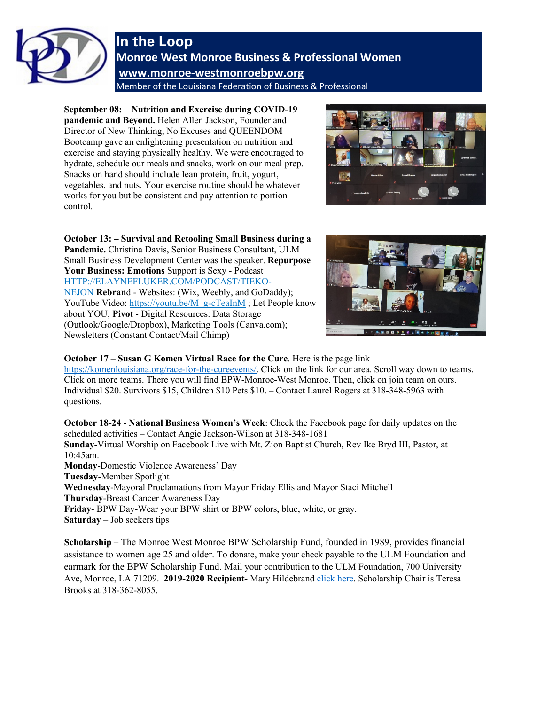

## **In the Loop Monroe West Monroe Business & Professional Women [www.monroe-westmonroebpw.org](http://www.monroe-westmonroebpw.org/)** Member of the Louisiana Federation of Business & Professional

**September 08: – Nutrition and Exercise during COVID-19 pandemic and Beyond.** Helen Allen Jackson, Founder and Director of New Thinking, No Excuses and QUEENDOM Bootcamp gave an enlightening presentation on nutrition and exercise and staying physically healthy. We were encouraged to hydrate, schedule our meals and snacks, work on our meal prep. Snacks on hand should include lean protein, fruit, yogurt, vegetables, and nuts. Your exercise routine should be whatever works for you but be consistent and pay attention to portion control.



**October 13: – Survival and Retooling Small Business during a Pandemic.** Christina Davis, Senior Business Consultant, ULM Small Business Development Center was the speaker. **Repurpose Your Business: Emotions** Support is Sexy - Podcast [HTTP://ELAYNEFLUKER.COM/PODCAST/TIEKO-](http://elaynefluker.com/PODCAST/TIEKO-NEJON)[NEJON](http://elaynefluker.com/PODCAST/TIEKO-NEJON) **Rebran**d - Websites: (Wix, Weebly, and GoDaddy); YouTube Video: [https://youtu.be/M\\_g-cTeaInM](https://youtu.be/M_g-cTeaInM) ; Let People know about YOU; **Pivot** - Digital Resources: Data Storage (Outlook/Google/Dropbox), Marketing Tools (Canva.com); Newsletters (Constant Contact/Mail Chimp)



## **October 17** – **Susan G Komen Virtual Race for the Cure**. Here is the page link

[https://komenlouisiana.org/race-for-the-cureevents/.](https://komenlouisiana.org/race-for-the-cureevents/) Click on the link for our area. Scroll way down to teams. Click on more teams. There you will find BPW-Monroe-West Monroe. Then, click on join team on ours. Individual \$20. Survivors \$15, Children \$10 Pets \$10. – Contact Laurel Rogers at 318-348-5963 with questions.

**October 18-24** - **National Business Women's Week**: Check the Facebook page for daily updates on the scheduled activities – Contact Angie Jackson-Wilson at 318-348-1681 **Sunday**-Virtual Worship on Facebook Live with Mt. Zion Baptist Church, Rev Ike Bryd III, Pastor, at 10:45am. **Monday**-Domestic Violence Awareness' Day **Tuesday**-Member Spotlight **Wednesday**-Mayoral Proclamations from Mayor Friday Ellis and Mayor Staci Mitchell **Thursday**-Breast Cancer Awareness Day **Friday**- BPW Day-Wear your BPW shirt or BPW colors, blue, white, or gray. **Saturday** – Job seekers tips

**Scholarship –** The Monroe West Monroe BPW Scholarship Fund, founded in 1989, provides financial assistance to women age 25 and older. To donate, make your check payable to the ULM Foundation and earmark for the BPW Scholarship Fund. Mail your contribution to the ULM Foundation, 700 University Ave, Monroe, LA 71209. **2019-2020 Recipient-** Mary Hildebrand [click here.](http://bpwmonroe-westmonroe.org/resources/Documents/BPW-ULM%20Scholarship/2019-2020%20ULM%20Scholarship%20Recipient.pdf) Scholarship Chair is Teresa Brooks at 318-362-8055.